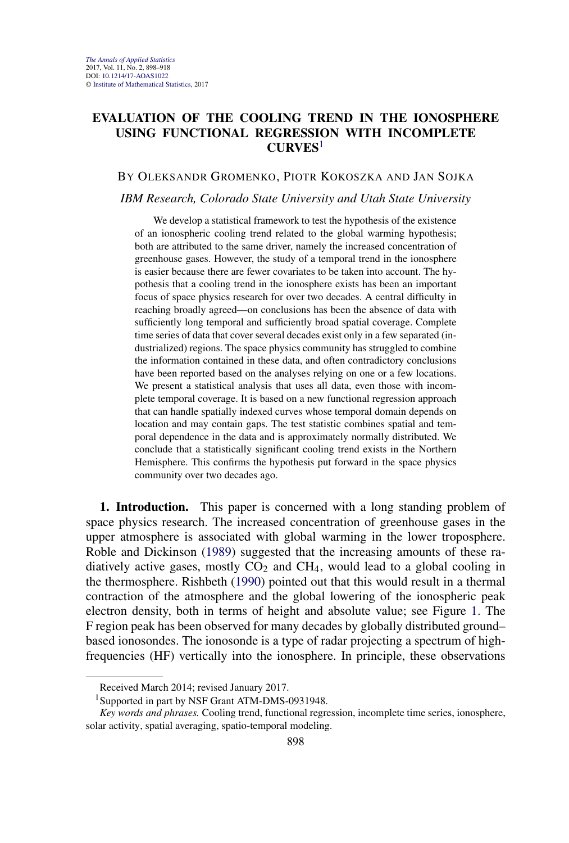# <span id="page-0-0"></span>**EVALUATION OF THE COOLING TREND IN THE IONOSPHERE USING FUNCTIONAL REGRESSION WITH INCOMPLETE CURVES**<sup>1</sup>

# BY OLEKSANDR GROMENKO, PIOTR KOKOSZKA AND JAN SOJKA

### *IBM Research, Colorado State University and Utah State University*

We develop a statistical framework to test the hypothesis of the existence of an ionospheric cooling trend related to the global warming hypothesis; both are attributed to the same driver, namely the increased concentration of greenhouse gases. However, the study of a temporal trend in the ionosphere is easier because there are fewer covariates to be taken into account. The hypothesis that a cooling trend in the ionosphere exists has been an important focus of space physics research for over two decades. A central difficulty in reaching broadly agreed—on conclusions has been the absence of data with sufficiently long temporal and sufficiently broad spatial coverage. Complete time series of data that cover several decades exist only in a few separated (industrialized) regions. The space physics community has struggled to combine the information contained in these data, and often contradictory conclusions have been reported based on the analyses relying on one or a few locations. We present a statistical analysis that uses all data, even those with incomplete temporal coverage. It is based on a new functional regression approach that can handle spatially indexed curves whose temporal domain depends on location and may contain gaps. The test statistic combines spatial and temporal dependence in the data and is approximately normally distributed. We conclude that a statistically significant cooling trend exists in the Northern Hemisphere. This confirms the hypothesis put forward in the space physics community over two decades ago.

**1. Introduction.** This paper is concerned with a long standing problem of space physics research. The increased concentration of greenhouse gases in the upper atmosphere is associated with global warming in the lower troposphere. Roble and Dickinson [\(1989\)](#page-19-0) suggested that the increasing amounts of these radiatively active gases, mostly  $CO<sub>2</sub>$  and CH<sub>4</sub>, would lead to a global cooling in the thermosphere. Rishbeth [\(1990\)](#page-19-0) pointed out that this would result in a thermal contraction of the atmosphere and the global lowering of the ionospheric peak electron density, both in terms of height and absolute value; see Figure [1.](#page-1-0) The F region peak has been observed for many decades by globally distributed ground– based ionosondes. The ionosonde is a type of radar projecting a spectrum of highfrequencies (HF) vertically into the ionosphere. In principle, these observations

Received March 2014; revised January 2017.

<sup>&</sup>lt;sup>1</sup>Supported in part by NSF Grant ATM-DMS-0931948.

*Key words and phrases.* Cooling trend, functional regression, incomplete time series, ionosphere, solar activity, spatial averaging, spatio-temporal modeling.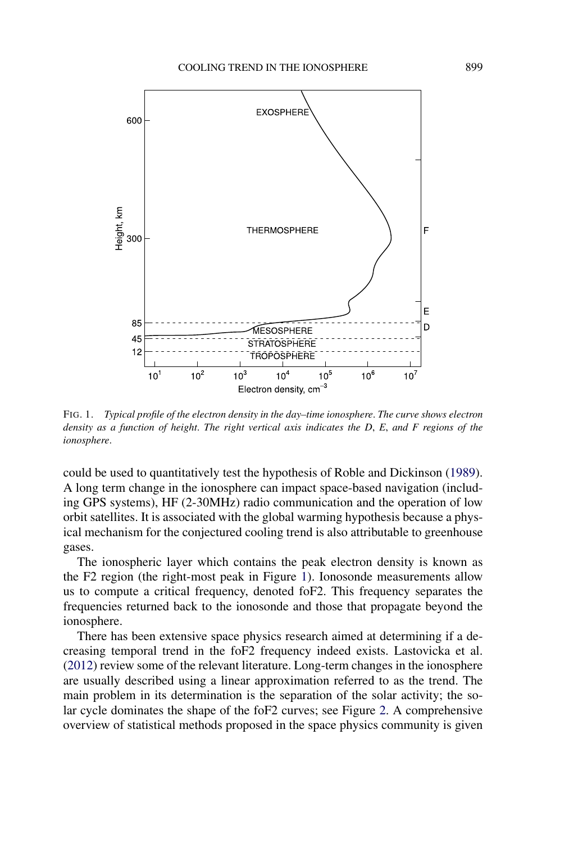<span id="page-1-0"></span>

FIG. 1. *Typical profile of the electron density in the day–time ionosphere*. *The curve shows electron density as a function of height*. *The right vertical axis indicates the D*, *E*, *and F regions of the ionosphere*.

could be used to quantitatively test the hypothesis of Roble and Dickinson [\(1989\)](#page-19-0). A long term change in the ionosphere can impact space-based navigation (including GPS systems), HF (2-30MHz) radio communication and the operation of low orbit satellites. It is associated with the global warming hypothesis because a physical mechanism for the conjectured cooling trend is also attributable to greenhouse gases.

The ionospheric layer which contains the peak electron density is known as the F2 region (the right-most peak in Figure 1). Ionosonde measurements allow us to compute a critical frequency, denoted foF2. This frequency separates the frequencies returned back to the ionosonde and those that propagate beyond the ionosphere.

There has been extensive space physics research aimed at determining if a decreasing temporal trend in the foF2 frequency indeed exists. Lastovicka et al. [\(2012\)](#page-19-0) review some of the relevant literature. Long-term changes in the ionosphere are usually described using a linear approximation referred to as the trend. The main problem in its determination is the separation of the solar activity; the solar cycle dominates the shape of the foF2 curves; see Figure [2.](#page-2-0) A comprehensive overview of statistical methods proposed in the space physics community is given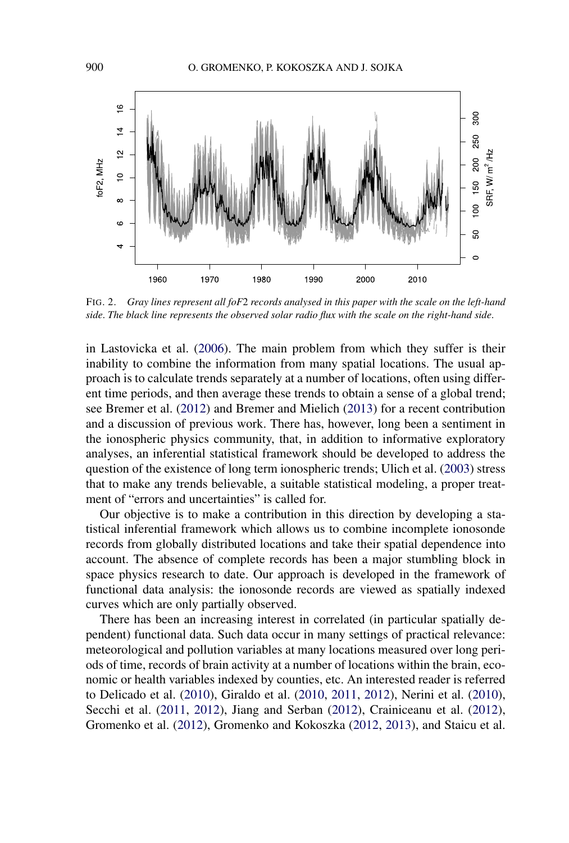<span id="page-2-0"></span>

FIG. 2. *Gray lines represent all foF*2 *records analysed in this paper with the scale on the left-hand side*. *The black line represents the observed solar radio flux with the scale on the right-hand side*.

in Lastovicka et al. [\(2006\)](#page-19-0). The main problem from which they suffer is their inability to combine the information from many spatial locations. The usual approach is to calculate trends separately at a number of locations, often using different time periods, and then average these trends to obtain a sense of a global trend; see Bremer et al. [\(2012\)](#page-18-0) and Bremer and Mielich [\(2013\)](#page-19-0) for a recent contribution and a discussion of previous work. There has, however, long been a sentiment in the ionospheric physics community, that, in addition to informative exploratory analyses, an inferential statistical framework should be developed to address the question of the existence of long term ionospheric trends; Ulich et al. [\(2003\)](#page-20-0) stress that to make any trends believable, a suitable statistical modeling, a proper treatment of "errors and uncertainties" is called for.

Our objective is to make a contribution in this direction by developing a statistical inferential framework which allows us to combine incomplete ionosonde records from globally distributed locations and take their spatial dependence into account. The absence of complete records has been a major stumbling block in space physics research to date. Our approach is developed in the framework of functional data analysis: the ionosonde records are viewed as spatially indexed curves which are only partially observed.

There has been an increasing interest in correlated (in particular spatially dependent) functional data. Such data occur in many settings of practical relevance: meteorological and pollution variables at many locations measured over long periods of time, records of brain activity at a number of locations within the brain, economic or health variables indexed by counties, etc. An interested reader is referred to Delicado et al. [\(2010\)](#page-18-0), Giraldo et al. [\(2010,](#page-18-0) [2011,](#page-18-0) [2012\)](#page-18-0), Nerini et al. [\(2010\)](#page-19-0), Secchi et al. [\(2011,](#page-19-0) [2012\)](#page-19-0), Jiang and Serban [\(2012\)](#page-19-0), Crainiceanu et al. [\(2012\)](#page-18-0), Gromenko et al. [\(2012\)](#page-18-0), Gromenko and Kokoszka [\(2012,](#page-18-0) [2013\)](#page-18-0), and Staicu et al.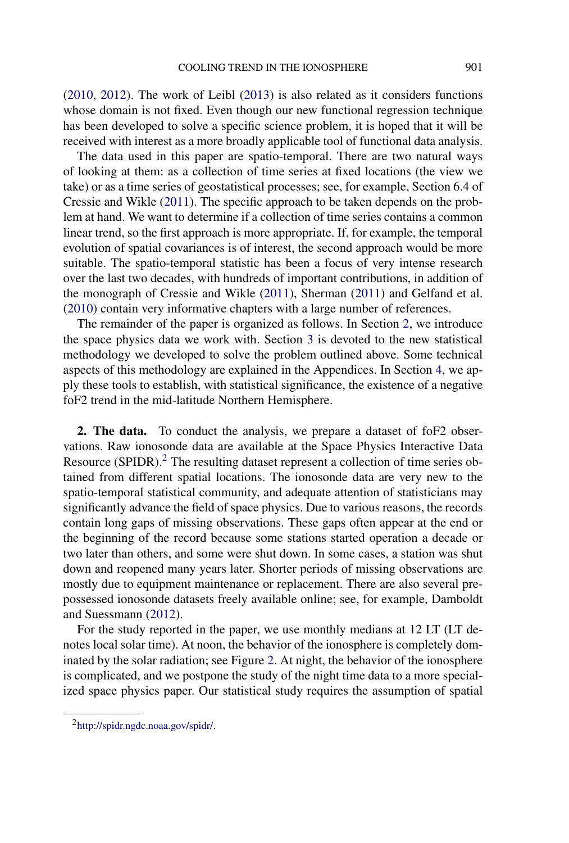[\(2010,](#page-19-0) [2012\)](#page-19-0). The work of Leibl [\(2013\)](#page-19-0) is also related as it considers functions whose domain is not fixed. Even though our new functional regression technique has been developed to solve a specific science problem, it is hoped that it will be received with interest as a more broadly applicable tool of functional data analysis.

The data used in this paper are spatio-temporal. There are two natural ways of looking at them: as a collection of time series at fixed locations (the view we take) or as a time series of geostatistical processes; see, for example, Section 6.4 of Cressie and Wikle [\(2011\)](#page-18-0). The specific approach to be taken depends on the problem at hand. We want to determine if a collection of time series contains a common linear trend, so the first approach is more appropriate. If, for example, the temporal evolution of spatial covariances is of interest, the second approach would be more suitable. The spatio-temporal statistic has been a focus of very intense research over the last two decades, with hundreds of important contributions, in addition of the monograph of Cressie and Wikle [\(2011\)](#page-18-0), Sherman [\(2011\)](#page-19-0) and Gelfand et al. [\(2010\)](#page-18-0) contain very informative chapters with a large number of references.

The remainder of the paper is organized as follows. In Section 2, we introduce the space physics data we work with. Section [3](#page-5-0) is devoted to the new statistical methodology we developed to solve the problem outlined above. Some technical aspects of this methodology are explained in the Appendices. In Section [4,](#page-13-0) we apply these tools to establish, with statistical significance, the existence of a negative foF2 trend in the mid-latitude Northern Hemisphere.

**2. The data.** To conduct the analysis, we prepare a dataset of foF2 observations. Raw ionosonde data are available at the Space Physics Interactive Data Resource (SPIDR).<sup>2</sup> The resulting dataset represent a collection of time series obtained from different spatial locations. The ionosonde data are very new to the spatio-temporal statistical community, and adequate attention of statisticians may significantly advance the field of space physics. Due to various reasons, the records contain long gaps of missing observations. These gaps often appear at the end or the beginning of the record because some stations started operation a decade or two later than others, and some were shut down. In some cases, a station was shut down and reopened many years later. Shorter periods of missing observations are mostly due to equipment maintenance or replacement. There are also several prepossessed ionosonde datasets freely available online; see, for example, Damboldt and Suessmann [\(2012\)](#page-18-0).

For the study reported in the paper, we use monthly medians at 12 LT (LT denotes local solar time). At noon, the behavior of the ionosphere is completely dominated by the solar radiation; see Figure [2.](#page-2-0) At night, the behavior of the ionosphere is complicated, and we postpone the study of the night time data to a more specialized space physics paper. Our statistical study requires the assumption of spatial

[<sup>2</sup>http://spidr.ngdc.noaa.gov/spidr/](http://spidr.ngdc.noaa.gov/spidr/).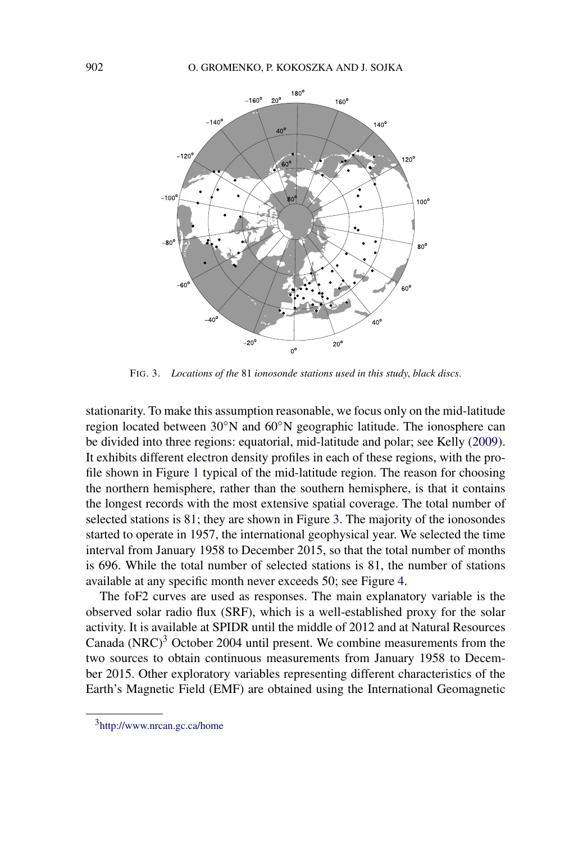

FIG. 3. *Locations of the* 81 *ionosonde stations used in this study*, *black discs*.

stationarity. To make this assumption reasonable, we focus only on the mid-latitude region located between 30◦N and 60◦N geographic latitude. The ionosphere can be divided into three regions: equatorial, mid-latitude and polar; see Kelly [\(2009\)](#page-19-0). It exhibits different electron density profiles in each of these regions, with the profile shown in Figure [1](#page-1-0) typical of the mid-latitude region. The reason for choosing the northern hemisphere, rather than the southern hemisphere, is that it contains the longest records with the most extensive spatial coverage. The total number of selected stations is 81; they are shown in Figure 3. The majority of the ionosondes started to operate in 1957, the international geophysical year. We selected the time interval from January 1958 to December 2015, so that the total number of months is 696. While the total number of selected stations is 81, the number of stations available at any specific month never exceeds 50; see Figure [4.](#page-5-0)

The foF2 curves are used as responses. The main explanatory variable is the observed solar radio flux (SRF), which is a well-established proxy for the solar activity. It is available at SPIDR until the middle of 2012 and at Natural Resources Canada (NRC) $3$  October 2004 until present. We combine measurements from the two sources to obtain continuous measurements from January 1958 to December 2015. Other exploratory variables representing different characteristics of the Earth's Magnetic Field (EMF) are obtained using the International Geomagnetic

[<sup>3</sup>http://www.nrcan.gc.ca/home](http://www.nrcan.gc.ca/home)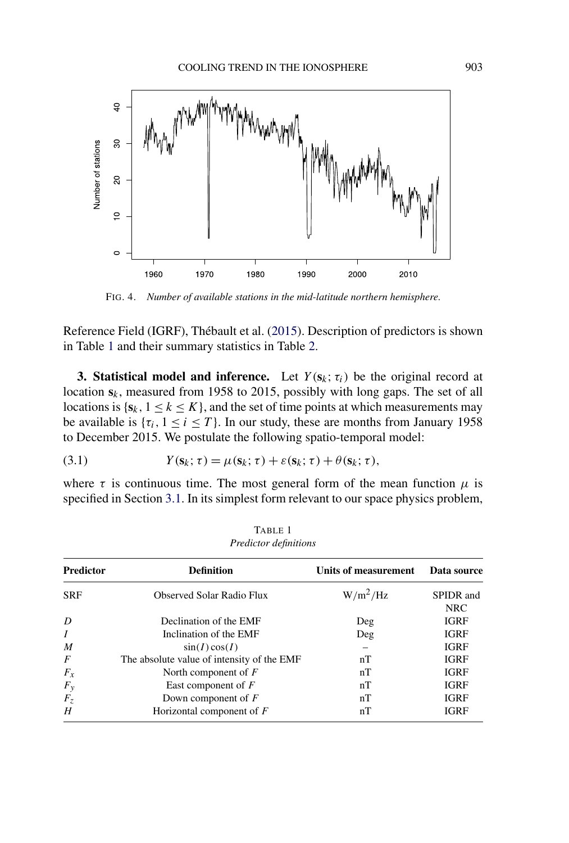<span id="page-5-0"></span>

FIG. 4. *Number of available stations in the mid-latitude northern hemisphere*.

Reference Field (IGRF), Thébault et al. [\(2015\)](#page-20-0). Description of predictors is shown in Table 1 and their summary statistics in Table [2.](#page-6-0)

**3. Statistical model and inference.** Let  $Y(s_k; \tau_i)$  be the original record at location **s***k*, measured from 1958 to 2015, possibly with long gaps. The set of all locations is  $\{s_k, 1 \le k \le K\}$ , and the set of time points at which measurements may be available is  $\{\tau_i, 1 \le i \le T\}$ . In our study, these are months from January 1958 to December 2015. We postulate the following spatio-temporal model:

(3.1) 
$$
Y(\mathbf{s}_k; \tau) = \mu(\mathbf{s}_k; \tau) + \varepsilon(\mathbf{s}_k; \tau) + \theta(\mathbf{s}_k; \tau),
$$

where  $\tau$  is continuous time. The most general form of the mean function  $\mu$  is specified in Section [3.1.](#page-6-0) In its simplest form relevant to our space physics problem,

| <b>Predictor</b> | <b>Definition</b>                          | Units of measurement | Data source             |
|------------------|--------------------------------------------|----------------------|-------------------------|
| <b>SRF</b>       | <b>Observed Solar Radio Flux</b>           | $W/m^2/Hz$           | SPIDR and<br><b>NRC</b> |
| D                | Declination of the EMF                     | Deg                  | <b>IGRF</b>             |
| $\overline{I}$   | Inclination of the EMF                     | Deg                  | <b>IGRF</b>             |
| M                | sin(I) cos(I)                              |                      | <b>IGRF</b>             |
| $\overline{F}$   | The absolute value of intensity of the EMF | nT                   | <b>IGRF</b>             |
| $F_x$            | North component of $F$                     | nT                   | <b>IGRF</b>             |
| $F_y$            | East component of $F$                      | nT                   | <b>IGRF</b>             |
| $F_z$            | Down component of $F$                      | nT                   | <b>IGRF</b>             |
| H                | Horizontal component of $F$                | nT                   | <b>IGRF</b>             |

TABLE 1 *Predictor definitions*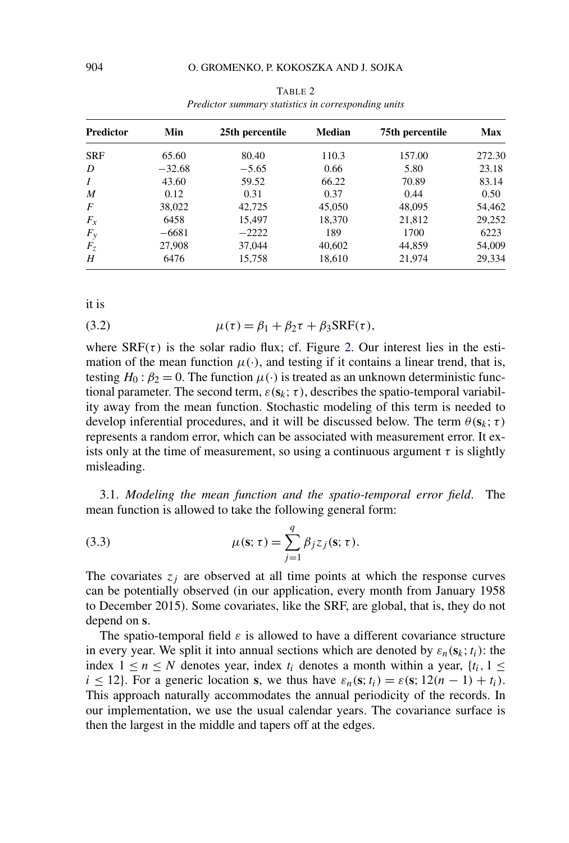<span id="page-6-0"></span>

| <b>Predictor</b> | Min      | 25th percentile | Median | 75th percentile | Max    |
|------------------|----------|-----------------|--------|-----------------|--------|
| <b>SRF</b>       | 65.60    | 80.40           | 110.3  | 157.00          | 272.30 |
| D                | $-32.68$ | $-5.65$         | 0.66   | 5.80            | 23.18  |
| $\boldsymbol{I}$ | 43.60    | 59.52           | 66.22  | 70.89           | 83.14  |
| M                | 0.12     | 0.31            | 0.37   | 0.44            | 0.50   |
| $\overline{F}$   | 38,022   | 42,725          | 45,050 | 48,095          | 54,462 |
| $F_{x}$          | 6458     | 15,497          | 18,370 | 21,812          | 29,252 |
| $F_y$            | $-6681$  | $-2222$         | 189    | 1700            | 6223   |
| $F_z$            | 27,908   | 37,044          | 40,602 | 44,859          | 54,009 |
| H                | 6476     | 15,758          | 18,610 | 21,974          | 29,334 |

TABLE 2 *Predictor summary statistics in corresponding units*

it is

(3.2) 
$$
\mu(\tau) = \beta_1 + \beta_2 \tau + \beta_3 \text{SRF}(\tau),
$$

where  $SRF(\tau)$  is the solar radio flux; cf. Figure [2.](#page-2-0) Our interest lies in the estimation of the mean function  $\mu(\cdot)$ , and testing if it contains a linear trend, that is, testing  $H_0: \beta_2 = 0$ . The function  $\mu(\cdot)$  is treated as an unknown deterministic functional parameter. The second term,  $\varepsilon(\mathbf{s}_k; \tau)$ , describes the spatio-temporal variability away from the mean function. Stochastic modeling of this term is needed to develop inferential procedures, and it will be discussed below. The term  $\theta(\mathbf{s}_k; \tau)$ represents a random error, which can be associated with measurement error. It exists only at the time of measurement, so using a continuous argument  $\tau$  is slightly misleading.

3.1. *Modeling the mean function and the spatio-temporal error field*. The mean function is allowed to take the following general form:

(3.3) 
$$
\mu(\mathbf{s}; \tau) = \sum_{j=1}^{q} \beta_j z_j(\mathbf{s}; \tau).
$$

The covariates  $z_j$  are observed at all time points at which the response curves can be potentially observed (in our application, every month from January 1958 to December 2015). Some covariates, like the SRF, are global, that is, they do not depend on **s**.

The spatio-temporal field  $\varepsilon$  is allowed to have a different covariance structure in every year. We split it into annual sections which are denoted by  $\varepsilon_n(\mathbf{s}_k; t_i)$ : the index  $1 \le n \le N$  denotes year, index  $t_i$  denotes a month within a year,  $\{t_i, 1 \le k\}$  $i \leq 12$ . For a generic location **s**, we thus have  $\varepsilon_n(\mathbf{s}; t_i) = \varepsilon(\mathbf{s}; 12(n-1) + t_i)$ . This approach naturally accommodates the annual periodicity of the records. In our implementation, we use the usual calendar years. The covariance surface is then the largest in the middle and tapers off at the edges.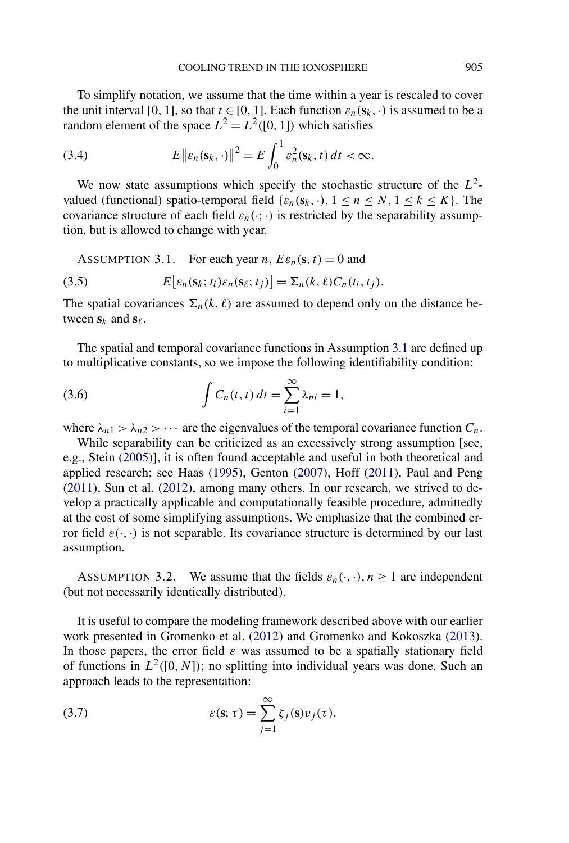<span id="page-7-0"></span>To simplify notation, we assume that the time within a year is rescaled to cover the unit interval [0, 1], so that  $t \in [0, 1]$ . Each function  $\varepsilon_n(\mathbf{s}_k, \cdot)$  is assumed to be a random element of the space  $L^2 = L^2([0, 1])$  which satisfies

(3.4) 
$$
E\left\|\varepsilon_n(\mathbf{s}_k,\cdot)\right\|^2 = E\int_0^1 \varepsilon_n^2(\mathbf{s}_k,t)\,dt < \infty.
$$

We now state assumptions which specify the stochastic structure of the *L*2 valued (functional) spatio-temporal field { $\epsilon_n(s_k, \cdot)$ ,  $1 \le n \le N$ ,  $1 \le k \le K$ }. The covariance structure of each field  $\varepsilon_n(\cdot;\cdot)$  is restricted by the separability assumption, but is allowed to change with year.

ASSUMPTION 3.1. For each year *n*,  $E\varepsilon_n(\mathbf{s},t) = 0$  and

(3.5) 
$$
E\big[\varepsilon_n(\mathbf{s}_k;t_i)\varepsilon_n(\mathbf{s}_\ell;t_j)\big]=\Sigma_n(k,\ell)C_n(t_i,t_j).
$$

The spatial covariances  $\Sigma_n(k,\ell)$  are assumed to depend only on the distance between  $s_k$  and  $s_\ell$ .

The spatial and temporal covariance functions in Assumption 3.1 are defined up to multiplicative constants, so we impose the following identifiability condition:

(3.6) 
$$
\int C_n(t, t) dt = \sum_{i=1}^{\infty} \lambda_{ni} = 1,
$$

where  $\lambda_{n1} > \lambda_{n2} > \cdots$  are the eigenvalues of the temporal covariance function  $C_n$ .

While separability can be criticized as an excessively strong assumption [see, e.g., Stein [\(2005\)](#page-19-0)], it is often found acceptable and useful in both theoretical and applied research; see Haas [\(1995\)](#page-18-0), Genton [\(2007\)](#page-18-0), Hoff [\(2011\)](#page-18-0), Paul and Peng [\(2011\)](#page-19-0), Sun et al. [\(2012\)](#page-20-0), among many others. In our research, we strived to develop a practically applicable and computationally feasible procedure, admittedly at the cost of some simplifying assumptions. We emphasize that the combined error field  $\varepsilon(\cdot, \cdot)$  is not separable. Its covariance structure is determined by our last assumption.

ASSUMPTION 3.2. We assume that the fields  $\varepsilon_n(\cdot, \cdot)$ ,  $n \ge 1$  are independent (but not necessarily identically distributed).

It is useful to compare the modeling framework described above with our earlier work presented in Gromenko et al. [\(2012\)](#page-18-0) and Gromenko and Kokoszka [\(2013\)](#page-18-0). In those papers, the error field  $\varepsilon$  was assumed to be a spatially stationary field of functions in  $L^2([0, N])$ ; no splitting into individual years was done. Such an approach leads to the representation:

(3.7) 
$$
\varepsilon(\mathbf{s}; \tau) = \sum_{j=1}^{\infty} \zeta_j(\mathbf{s}) v_j(\tau).
$$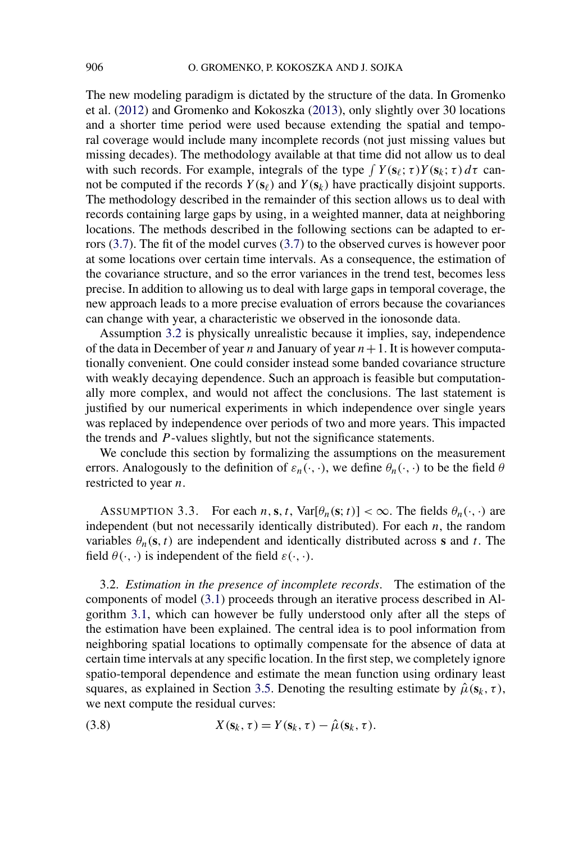The new modeling paradigm is dictated by the structure of the data. In Gromenko et al. [\(2012\)](#page-18-0) and Gromenko and Kokoszka [\(2013\)](#page-18-0), only slightly over 30 locations and a shorter time period were used because extending the spatial and temporal coverage would include many incomplete records (not just missing values but missing decades). The methodology available at that time did not allow us to deal with such records. For example, integrals of the type  $\int Y(\mathbf{s}_{\ell}; \tau) Y(\mathbf{s}_{k}; \tau) d\tau$  cannot be computed if the records  $Y(\mathbf{s}_{\ell})$  and  $Y(\mathbf{s}_{k})$  have practically disjoint supports. The methodology described in the remainder of this section allows us to deal with records containing large gaps by using, in a weighted manner, data at neighboring locations. The methods described in the following sections can be adapted to errors [\(3.7\)](#page-7-0). The fit of the model curves [\(3.7\)](#page-7-0) to the observed curves is however poor at some locations over certain time intervals. As a consequence, the estimation of the covariance structure, and so the error variances in the trend test, becomes less precise. In addition to allowing us to deal with large gaps in temporal coverage, the new approach leads to a more precise evaluation of errors because the covariances can change with year, a characteristic we observed in the ionosonde data.

Assumption [3.2](#page-7-0) is physically unrealistic because it implies, say, independence of the data in December of year *n* and January of year  $n + 1$ . It is however computationally convenient. One could consider instead some banded covariance structure with weakly decaying dependence. Such an approach is feasible but computationally more complex, and would not affect the conclusions. The last statement is justified by our numerical experiments in which independence over single years was replaced by independence over periods of two and more years. This impacted the trends and *P* -values slightly, but not the significance statements.

We conclude this section by formalizing the assumptions on the measurement errors. Analogously to the definition of  $\varepsilon_n(\cdot, \cdot)$ , we define  $\theta_n(\cdot, \cdot)$  to be the field  $\theta$ restricted to year *n*.

ASSUMPTION 3.3. For each  $n, s, t$ , Var[ $\theta_n(s; t)$ ] <  $\infty$ . The fields  $\theta_n(\cdot, \cdot)$  are independent (but not necessarily identically distributed). For each *n*, the random variables  $\theta_n(\mathbf{s}, t)$  are independent and identically distributed across **s** and *t*. The field  $\theta(\cdot, \cdot)$  is independent of the field  $\varepsilon(\cdot, \cdot)$ .

3.2. *Estimation in the presence of incomplete records*. The estimation of the components of model [\(3.1\)](#page-5-0) proceeds through an iterative process described in Algorithm [3.1,](#page-13-0) which can however be fully understood only after all the steps of the estimation have been explained. The central idea is to pool information from neighboring spatial locations to optimally compensate for the absence of data at certain time intervals at any specific location. In the first step, we completely ignore spatio-temporal dependence and estimate the mean function using ordinary least squares, as explained in Section [3.5.](#page-12-0) Denoting the resulting estimate by  $\hat{\mu}(s_k, \tau)$ , we next compute the residual curves:

(3.8) 
$$
X(\mathbf{s}_k, \tau) = Y(\mathbf{s}_k, \tau) - \hat{\mu}(\mathbf{s}_k, \tau).
$$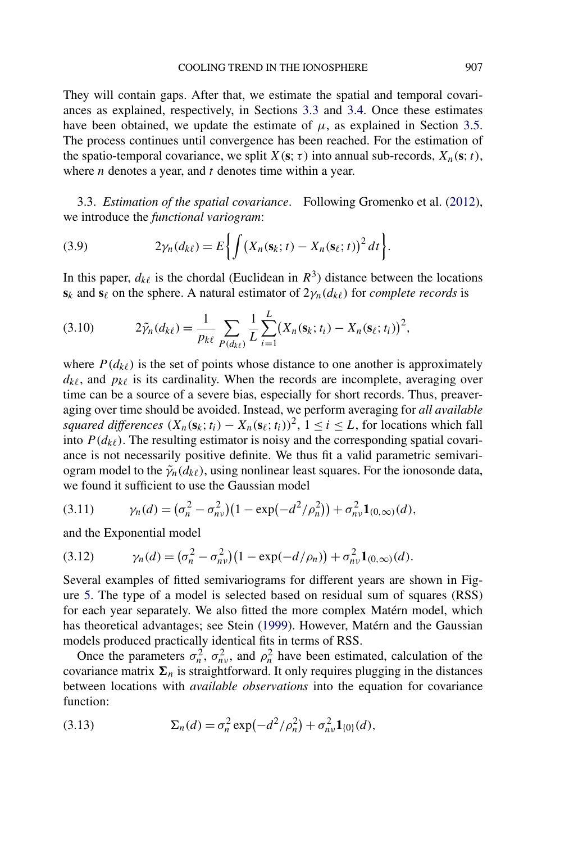They will contain gaps. After that, we estimate the spatial and temporal covariances as explained, respectively, in Sections 3.3 and [3.4.](#page-10-0) Once these estimates have been obtained, we update the estimate of  $\mu$ , as explained in Section [3.5.](#page-12-0) The process continues until convergence has been reached. For the estimation of the spatio-temporal covariance, we split  $X(\mathbf{s}; \tau)$  into annual sub-records,  $X_n(\mathbf{s}; t)$ , where *n* denotes a year, and *t* denotes time within a year.

3.3. *Estimation of the spatial covariance*. Following Gromenko et al. [\(2012\)](#page-18-0), we introduce the *functional variogram*:

(3.9) 
$$
2\gamma_n(d_{k\ell})=E\bigg\{\int \big(X_n(\mathbf{s}_k;t)-X_n(\mathbf{s}_\ell;t)\big)^2\,dt\bigg\}.
$$

In this paper,  $d_{k\ell}$  is the chordal (Euclidean in  $R^3$ ) distance between the locations  $s_k$  and  $\overline{s_\ell}$  on the sphere. A natural estimator of  $2\gamma_n(d_{k\ell})$  for *complete records* is

(3.10) 
$$
2\tilde{\gamma}_n(d_{k\ell}) = \frac{1}{p_{k\ell}} \sum_{P(d_{k\ell})} \frac{1}{L} \sum_{i=1}^L (X_n(\mathbf{s}_k; t_i) - X_n(\mathbf{s}_\ell; t_i))^2,
$$

where  $P(d_{k\ell})$  is the set of points whose distance to one another is approximately  $d_{k\ell}$ , and  $p_{k\ell}$  is its cardinality. When the records are incomplete, averaging over time can be a source of a severe bias, especially for short records. Thus, preaveraging over time should be avoided. Instead, we perform averaging for *all available squared differences*  $(X_n(\mathbf{s}_k; t_i) - X_n(\mathbf{s}_k; t_i))^2$ ,  $1 \le i \le L$ , for locations which fall into  $P(d_{k\ell})$ . The resulting estimator is noisy and the corresponding spatial covariance is not necessarily positive definite. We thus fit a valid parametric semivariogram model to the  $\tilde{\gamma}_n(d_{k\ell})$ , using nonlinear least squares. For the ionosonde data, we found it sufficient to use the Gaussian model

$$
(3.11) \t\t \gamma_n(d) = (\sigma_n^2 - \sigma_{n\nu}^2)(1 - \exp(-d^2/\rho_n^2)) + \sigma_{n\nu}^2 \mathbf{1}_{(0,\infty)}(d),
$$

and the Exponential model

(3.12) 
$$
\gamma_n(d) = (\sigma_n^2 - \sigma_{n\nu}^2)(1 - \exp(-d/\rho_n)) + \sigma_{n\nu}^2 \mathbf{1}_{(0,\infty)}(d).
$$

Several examples of fitted semivariograms for different years are shown in Figure [5.](#page-10-0) The type of a model is selected based on residual sum of squares (RSS) for each year separately. We also fitted the more complex Matérn model, which has theoretical advantages; see Stein [\(1999\)](#page-19-0). However, Matérn and the Gaussian models produced practically identical fits in terms of RSS.

Once the parameters  $\sigma_n^2$ ,  $\sigma_{nv}^2$ , and  $\rho_n^2$  have been estimated, calculation of the covariance matrix  $\Sigma_n$  is straightforward. It only requires plugging in the distances between locations with *available observations* into the equation for covariance function:

(3.13) 
$$
\Sigma_n(d) = \sigma_n^2 \exp(-d^2/\rho_n^2) + \sigma_{n\nu}^2 \mathbf{1}_{\{0\}}(d),
$$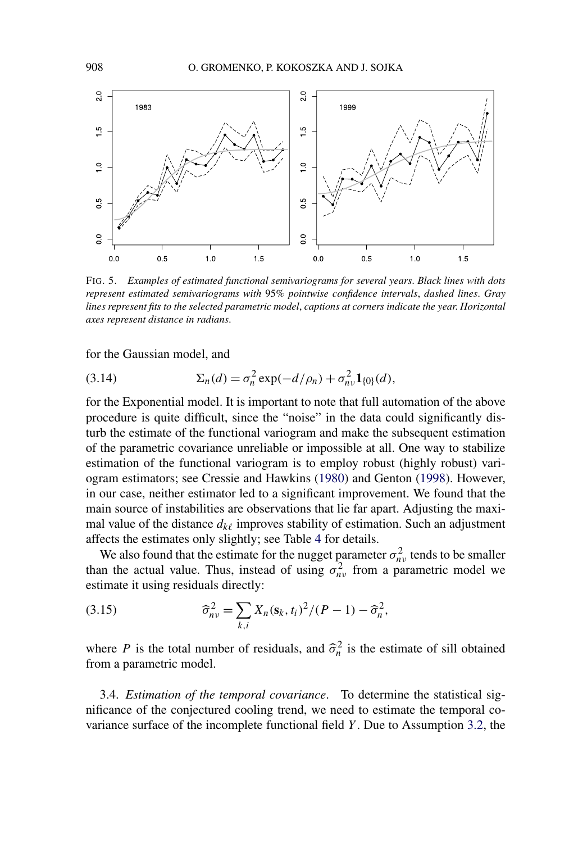<span id="page-10-0"></span>

FIG. 5. *Examples of estimated functional semivariograms for several years*. *Black lines with dots represent estimated semivariograms with* 95*% pointwise confidence intervals*, *dashed lines*. *Gray lines represent fits to the selected parametric model*, *captions at corners indicate the year*. *Horizontal axes represent distance in radians*.

for the Gaussian model, and

(3.14) 
$$
\Sigma_n(d) = \sigma_n^2 \exp(-d/\rho_n) + \sigma_{n\nu}^2 \mathbf{1}_{\{0\}}(d),
$$

for the Exponential model. It is important to note that full automation of the above procedure is quite difficult, since the "noise" in the data could significantly disturb the estimate of the functional variogram and make the subsequent estimation of the parametric covariance unreliable or impossible at all. One way to stabilize estimation of the functional variogram is to employ robust (highly robust) variogram estimators; see Cressie and Hawkins [\(1980\)](#page-18-0) and Genton [\(1998\)](#page-18-0). However, in our case, neither estimator led to a significant improvement. We found that the main source of instabilities are observations that lie far apart. Adjusting the maximal value of the distance  $d_{k\ell}$  improves stability of estimation. Such an adjustment affects the estimates only slightly; see Table [4](#page-15-0) for details.

We also found that the estimate for the nugget parameter  $\sigma_{nv}^2$  tends to be smaller than the actual value. Thus, instead of using  $\sigma_{nv}^2$  from a parametric model we estimate it using residuals directly:

(3.15) 
$$
\widehat{\sigma}_{n\nu}^2 = \sum_{k,i} X_n (\mathbf{s}_k, t_i)^2 / (P - 1) - \widehat{\sigma}_n^2,
$$

where *P* is the total number of residuals, and  $\hat{\sigma}_n^2$  is the estimate of sill obtained from a parametric model.

3.4. *Estimation of the temporal covariance*. To determine the statistical significance of the conjectured cooling trend, we need to estimate the temporal covariance surface of the incomplete functional field *Y* . Due to Assumption [3.2,](#page-7-0) the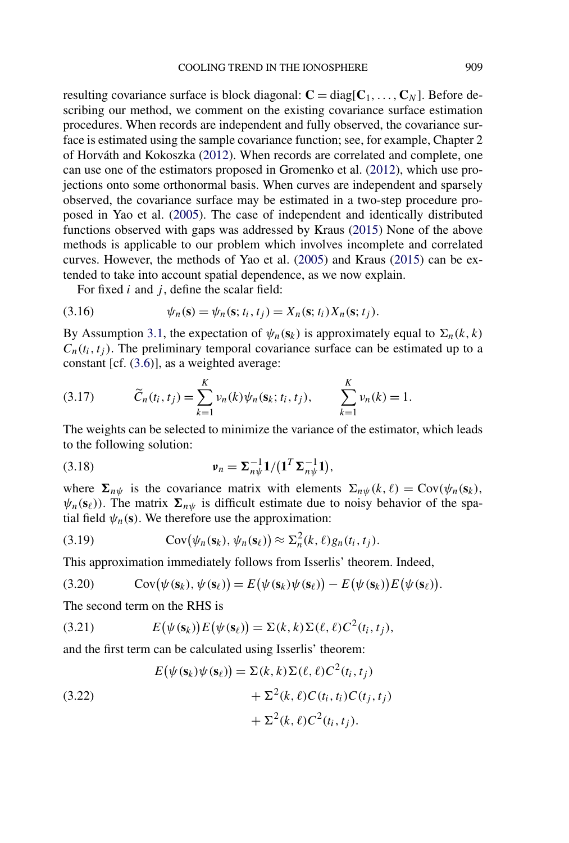<span id="page-11-0"></span>resulting covariance surface is block diagonal:  $\mathbf{C} = \text{diag}[\mathbf{C}_1, \ldots, \mathbf{C}_N]$ . Before describing our method, we comment on the existing covariance surface estimation procedures. When records are independent and fully observed, the covariance surface is estimated using the sample covariance function; see, for example, Chapter 2 of Horváth and Kokoszka [\(2012\)](#page-19-0). When records are correlated and complete, one can use one of the estimators proposed in Gromenko et al. [\(2012\)](#page-18-0), which use projections onto some orthonormal basis. When curves are independent and sparsely observed, the covariance surface may be estimated in a two-step procedure proposed in Yao et al. [\(2005\)](#page-20-0). The case of independent and identically distributed functions observed with gaps was addressed by Kraus [\(2015\)](#page-19-0) None of the above methods is applicable to our problem which involves incomplete and correlated curves. However, the methods of Yao et al. [\(2005\)](#page-20-0) and Kraus [\(2015\)](#page-19-0) can be extended to take into account spatial dependence, as we now explain.

For fixed *i* and *j*, define the scalar field:

(3.16) 
$$
\psi_n(s) = \psi_n(s; t_i, t_j) = X_n(s; t_i) X_n(s; t_j).
$$

By Assumption [3.1,](#page-7-0) the expectation of  $\psi_n(\mathbf{s}_k)$  is approximately equal to  $\Sigma_n(k, k)$  $C_n(t_i, t_i)$ . The preliminary temporal covariance surface can be estimated up to a constant [cf. [\(3.6\)](#page-7-0)], as a weighted average:

(3.17) 
$$
\widetilde{C}_n(t_i, t_j) = \sum_{k=1}^K \nu_n(k) \psi_n(\mathbf{s}_k; t_i, t_j), \qquad \sum_{k=1}^K \nu_n(k) = 1.
$$

The weights can be selected to minimize the variance of the estimator, which leads to the following solution:

(3.18) 
$$
\mathbf{v}_n = \mathbf{\Sigma}_{n\psi}^{-1} \mathbf{1} / (\mathbf{1}^T \mathbf{\Sigma}_{n\psi}^{-1} \mathbf{1}),
$$

where  $\Sigma_{n\psi}$  is the covariance matrix with elements  $\Sigma_{n\psi}(k,\ell) = \text{Cov}(\psi_n(\mathbf{s}_k))$ ,  $\psi_n(\mathbf{s}_\ell)$ ). The matrix  $\mathbf{\Sigma}_{n\psi}$  is difficult estimate due to noisy behavior of the spatial field  $\psi_n(\mathbf{s})$ . We therefore use the approximation:

(3.19) 
$$
Cov(\psi_n(\mathbf{s}_k), \psi_n(\mathbf{s}_\ell)) \approx \Sigma_n^2(k, \ell) g_n(t_i, t_j).
$$

This approximation immediately follows from Isserlis' theorem. Indeed,

(3.20) 
$$
Cov(\psi(\mathbf{s}_k), \psi(\mathbf{s}_\ell)) = E(\psi(\mathbf{s}_k)\psi(\mathbf{s}_\ell)) - E(\psi(\mathbf{s}_k))E(\psi(\mathbf{s}_\ell)).
$$

The second term on the RHS is

(3.21) 
$$
E(\psi(\mathbf{s}_k))E(\psi(\mathbf{s}_\ell)) = \Sigma(k,k)\Sigma(\ell,\ell)C^2(t_i,t_j),
$$

and the first term can be calculated using Isserlis' theorem:

(3.22)  
\n
$$
E(\psi(\mathbf{s}_k)\psi(\mathbf{s}_\ell)) = \Sigma(k, k)\Sigma(\ell, \ell)C^2(t_i, t_j)
$$
\n
$$
+ \Sigma^2(k, \ell)C(t_i, t_i)C(t_j, t_j)
$$
\n
$$
+ \Sigma^2(k, \ell)C^2(t_i, t_j).
$$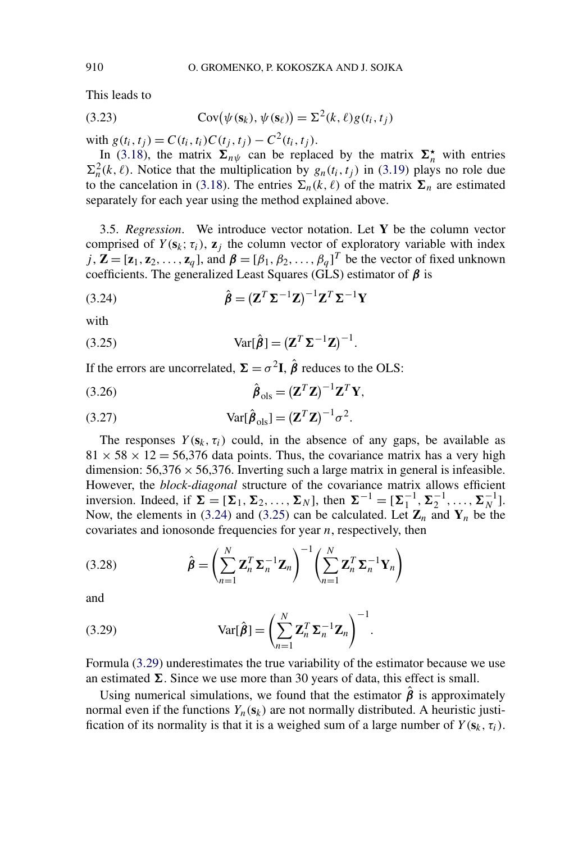<span id="page-12-0"></span>This leads to

(3.23) 
$$
Cov(\psi(\mathbf{s}_k), \psi(\mathbf{s}_\ell)) = \Sigma^2(k, \ell)g(t_i, t_j)
$$

with  $g(t_i, t_j) = C(t_i, t_i)C(t_j, t_j) - C^2(t_i, t_j)$ .

In [\(3.18\)](#page-11-0), the matrix  $\Sigma_{n\psi}$  can be replaced by the matrix  $\Sigma_n^*$  with entries  $\Sigma_n^2(k,\ell)$ . Notice that the multiplication by  $g_n(t_i,t_j)$  in [\(3.19\)](#page-11-0) plays no role due to the cancelation in [\(3.18\)](#page-11-0). The entries  $\Sigma_n(k,\ell)$  of the matrix  $\Sigma_n$  are estimated separately for each year using the method explained above.

3.5. *Regression*. We introduce vector notation. Let **Y** be the column vector comprised of  $Y(\mathbf{s}_k; \tau_i)$ ,  $\mathbf{z}_j$  the column vector of exploratory variable with index  $j$ ,  $\mathbf{Z} = [\mathbf{z}_1, \mathbf{z}_2, \dots, \mathbf{z}_q]$ , and  $\boldsymbol{\beta} = [\beta_1, \beta_2, \dots, \beta_q]^T$  be the vector of fixed unknown coefficients. The generalized Least Squares (GLS) estimator of *β* is

(3.24) 
$$
\hat{\boldsymbol{\beta}} = (\mathbf{Z}^T \mathbf{\Sigma}^{-1} \mathbf{Z})^{-1} \mathbf{Z}^T \mathbf{\Sigma}^{-1} \mathbf{Y}
$$

with

(3.25) 
$$
Var[\hat{\boldsymbol{\beta}}] = (\mathbf{Z}^T \mathbf{\Sigma}^{-1} \mathbf{Z})^{-1}.
$$

If the errors are uncorrelated,  $\Sigma = \sigma^2 I$ ,  $\hat{\beta}$  reduces to the OLS:

$$
\hat{\boldsymbol{\beta}}_{\text{ols}} = (\mathbf{Z}^T \mathbf{Z})^{-1} \mathbf{Z}^T \mathbf{Y},
$$

(3.27) 
$$
Var[\hat{\boldsymbol{\beta}}_{ols}] = (\mathbf{Z}^T \mathbf{Z})^{-1} \sigma^2.
$$

The responses  $Y(\mathbf{s}_k, \tau_i)$  could, in the absence of any gaps, be available as  $81 \times 58 \times 12 = 56,376$  data points. Thus, the covariance matrix has a very high dimension:  $56,376 \times 56,376$ . Inverting such a large matrix in general is infeasible. However, the *block-diagonal* structure of the covariance matrix allows efficient inversion. Indeed, if  $\Sigma = [\Sigma_1, \Sigma_2, ..., \Sigma_N]$ , then  $\Sigma^{-1} = [\Sigma_1^{-1}, \Sigma_2^{-1}, ..., \Sigma_N^{-1}]$ . Now, the elements in (3.24) and (3.25) can be calculated. Let  $\mathbf{Z}_n$  and  $\mathbf{Y}_n$  be the covariates and ionosonde frequencies for year *n*, respectively, then

(3.28) 
$$
\hat{\boldsymbol{\beta}} = \left(\sum_{n=1}^{N} \mathbf{Z}_n^T \mathbf{\Sigma}_n^{-1} \mathbf{Z}_n\right)^{-1} \left(\sum_{n=1}^{N} \mathbf{Z}_n^T \mathbf{\Sigma}_n^{-1} \mathbf{Y}_n\right)
$$

and

(3.29) 
$$
Var[\hat{\boldsymbol{\beta}}] = \left(\sum_{n=1}^{N} \mathbf{Z}_n^T \mathbf{\Sigma}_n^{-1} \mathbf{Z}_n\right)^{-1}
$$

Formula (3.29) underestimates the true variability of the estimator because we use an estimated  $\Sigma$ . Since we use more than 30 years of data, this effect is small.

*.*

Using numerical simulations, we found that the estimator  $\hat{\beta}$  is approximately normal even if the functions  $Y_n(\mathbf{s}_k)$  are not normally distributed. A heuristic justification of its normality is that it is a weighed sum of a large number of  $Y(\mathbf{s}_k, \tau_i)$ .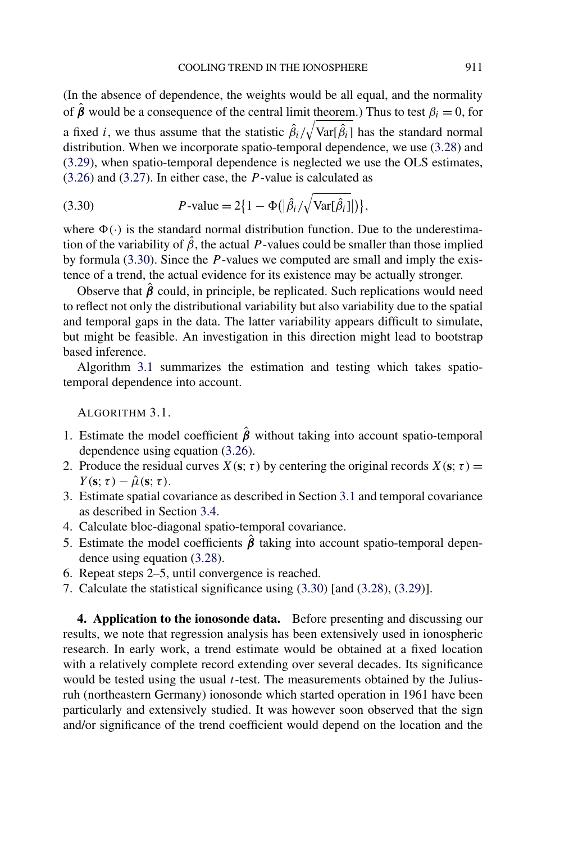<span id="page-13-0"></span>(In the absence of dependence, the weights would be all equal, and the normality of  $\hat{\boldsymbol{\beta}}$  would be a consequence of the central limit theorem.) Thus to test  $\beta_i = 0$ , for a fixed *i*, we thus assume that the statistic  $\hat{\beta}_i / \sqrt{\text{Var}[\hat{\beta}_i]}$  has the standard normal distribution. When we incorporate spatio-temporal dependence, we use [\(3.28\)](#page-12-0) and [\(3.29\)](#page-12-0), when spatio-temporal dependence is neglected we use the OLS estimates, [\(3.26\)](#page-12-0) and [\(3.27\)](#page-12-0). In either case, the *P* -value is calculated as

(3.30) 
$$
P\text{-value} = 2\{1 - \Phi(|\hat{\beta}_i/\sqrt{\text{Var}[\hat{\beta}_i]}|)\},
$$

where  $\Phi(\cdot)$  is the standard normal distribution function. Due to the underestimation of the variability of  $\hat{\beta}$ , the actual *P*-values could be smaller than those implied by formula (3.30). Since the *P* -values we computed are small and imply the existence of a trend, the actual evidence for its existence may be actually stronger.

Observe that  $\hat{\beta}$  could, in principle, be replicated. Such replications would need to reflect not only the distributional variability but also variability due to the spatial and temporal gaps in the data. The latter variability appears difficult to simulate, but might be feasible. An investigation in this direction might lead to bootstrap based inference.

Algorithm 3.1 summarizes the estimation and testing which takes spatiotemporal dependence into account.

ALGORITHM 3.1.

- 1. Estimate the model coefficient  $\hat{\beta}$  without taking into account spatio-temporal dependence using equation [\(3.26\)](#page-12-0).
- 2. Produce the residual curves  $X(\mathbf{s}; \tau)$  by centering the original records  $X(\mathbf{s}; \tau) =$  $Y(\mathbf{s}; \tau) - \hat{\mu}(\mathbf{s}; \tau).$
- 3. Estimate spatial covariance as described in Section [3.1](#page-6-0) and temporal covariance as described in Section [3.4.](#page-10-0)
- 4. Calculate bloc-diagonal spatio-temporal covariance.
- 5. Estimate the model coefficients *β*ˆ taking into account spatio-temporal dependence using equation [\(3.28\)](#page-12-0).
- 6. Repeat steps 2–5, until convergence is reached.
- 7. Calculate the statistical significance using (3.30) [and [\(3.28\)](#page-12-0), [\(3.29\)](#page-12-0)].

**4. Application to the ionosonde data.** Before presenting and discussing our results, we note that regression analysis has been extensively used in ionospheric research. In early work, a trend estimate would be obtained at a fixed location with a relatively complete record extending over several decades. Its significance would be tested using the usual *t*-test. The measurements obtained by the Juliusruh (northeastern Germany) ionosonde which started operation in 1961 have been particularly and extensively studied. It was however soon observed that the sign and/or significance of the trend coefficient would depend on the location and the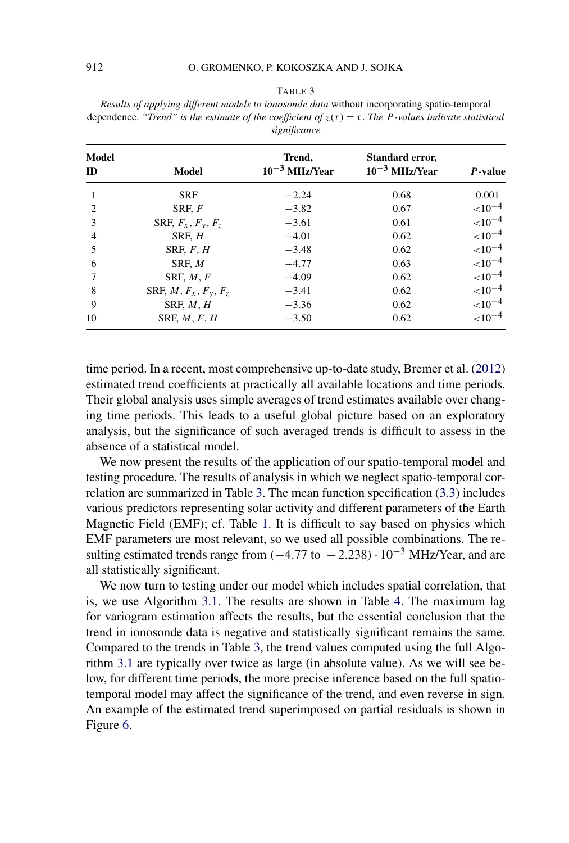#### TABLE 3

<span id="page-14-0"></span>*Results of applying different models to ionosonde data* without incorporating spatio-temporal dependence. *"Trend" is the estimate of the coefficient of*  $z(\tau) = \tau$ . *The P*-values indicate statistical *significance*

| Model<br>ID | Model                            | Trend,<br>$10^{-3}$ MHz/Year | Standard error,<br>$10^{-3}$ MHz/Year | P-value      |
|-------------|----------------------------------|------------------------------|---------------------------------------|--------------|
| 1           | <b>SRF</b>                       | $-2.24$                      | 0.68                                  | 0.001        |
| 2           | SRF, F                           | $-3.82$                      | 0.67                                  | ${<}10^{-4}$ |
| 3           | SRF, $F_x$ , $F_y$ , $F_z$       | $-3.61$                      | 0.61                                  | $< 10^{-4}$  |
| 4           | SRF, H                           | $-4.01$                      | 0.62                                  | ${<}10^{-4}$ |
| 5           | SRF, F, H                        | $-3.48$                      | 0.62                                  | ${<}10^{-4}$ |
| 6           | SRF, M                           | $-4.77$                      | 0.63                                  | ${<}10^{-4}$ |
|             | SRF, M, F                        | $-4.09$                      | 0.62                                  | ${<}10^{-4}$ |
| 8           | SRF, $M$ , $F_x$ , $F_y$ , $F_z$ | $-3.41$                      | 0.62                                  | ${<}10^{-4}$ |
| 9           | SRF, M, H                        | $-3.36$                      | 0.62                                  | $< 10^{-4}$  |
| 10          | SRF, M, F, H                     | $-3.50$                      | 0.62                                  | ${<}10^{-4}$ |

time period. In a recent, most comprehensive up-to-date study, Bremer et al. [\(2012\)](#page-18-0) estimated trend coefficients at practically all available locations and time periods. Their global analysis uses simple averages of trend estimates available over changing time periods. This leads to a useful global picture based on an exploratory analysis, but the significance of such averaged trends is difficult to assess in the absence of a statistical model.

We now present the results of the application of our spatio-temporal model and testing procedure. The results of analysis in which we neglect spatio-temporal correlation are summarized in Table 3. The mean function specification [\(3.3\)](#page-6-0) includes various predictors representing solar activity and different parameters of the Earth Magnetic Field (EMF); cf. Table [1.](#page-5-0) It is difficult to say based on physics which EMF parameters are most relevant, so we used all possible combinations. The resulting estimated trends range from *(*−4*.*77 to − 2*.*238*)*· 10−<sup>3</sup> MHz/Year, and are all statistically significant.

We now turn to testing under our model which includes spatial correlation, that is, we use Algorithm [3.1.](#page-13-0) The results are shown in Table [4.](#page-15-0) The maximum lag for variogram estimation affects the results, but the essential conclusion that the trend in ionosonde data is negative and statistically significant remains the same. Compared to the trends in Table 3, the trend values computed using the full Algorithm [3.1](#page-13-0) are typically over twice as large (in absolute value). As we will see below, for different time periods, the more precise inference based on the full spatiotemporal model may affect the significance of the trend, and even reverse in sign. An example of the estimated trend superimposed on partial residuals is shown in Figure [6.](#page-16-0)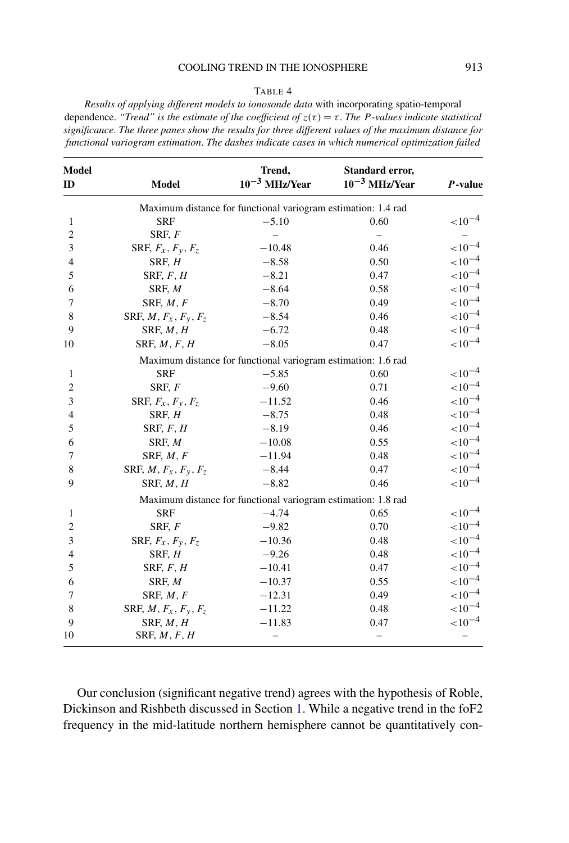### COOLING TREND IN THE IONOSPHERE 913

#### TABLE 4

<span id="page-15-0"></span>*Results of applying different models to ionosonde data* with incorporating spatio-temporal dependence. *"Trend" is the estimate of the coefficient of*  $z(\tau) = \tau$ . *The P*-values indicate statistical *significance*. *The three panes show the results for three different values of the maximum distance for functional variogram estimation*. *The dashes indicate cases in which numerical optimization failed*

| <b>Model</b><br>ID | <b>Model</b>                     | Trend,<br>$10^{-3}$ MHz/Year                                  | Standard error,<br>$10^{-3}$ MHz/Year | $P$ -value   |
|--------------------|----------------------------------|---------------------------------------------------------------|---------------------------------------|--------------|
|                    |                                  | Maximum distance for functional variogram estimation: 1.4 rad |                                       |              |
| 1                  | <b>SRF</b>                       | $-5.10$                                                       | 0.60                                  | $< 10^{-4}$  |
| $\overline{c}$     | SRF, F                           |                                                               |                                       |              |
| 3                  | SRF, $F_x$ , $F_y$ , $F_z$       | $-10.48$                                                      | 0.46                                  | ${<}10^{-4}$ |
| $\overline{4}$     | SRF, H                           | $-8.58$                                                       | 0.50                                  | ${<}10^{-4}$ |
| 5                  | SRF, $F, H$                      | $-8.21$                                                       | 0.47                                  | ${<}10^{-4}$ |
| 6                  | SRF, M                           | $-8.64$                                                       | 0.58                                  | ${<}10^{-4}$ |
| 7                  | SRF, $M, F$                      | $-8.70$                                                       | 0.49                                  | ${<}10^{-4}$ |
| 8                  | SRF, $M$ , $F_x$ , $F_y$ , $F_z$ | $-8.54$                                                       | 0.46                                  | $< 10^{-4}$  |
| 9                  | SRF, M, H                        | $-6.72$                                                       | 0.48                                  | ${<}10^{-4}$ |
| 10                 | SRF, $M, F, H$                   | $-8.05$                                                       | 0.47                                  | ${<}10^{-4}$ |
|                    |                                  | Maximum distance for functional variogram estimation: 1.6 rad |                                       |              |
| 1                  | <b>SRF</b>                       | $-5.85$                                                       | 0.60                                  | $< 10^{-4}$  |
| $\overline{c}$     | SRF, F                           | $-9.60$                                                       | 0.71                                  | ${<}10^{-4}$ |
| 3                  | SRF, $F_x$ , $F_y$ , $F_z$       | $-11.52$                                                      | 0.46                                  | ${<}10^{-4}$ |
| 4                  | SRF, H                           | $-8.75$                                                       | 0.48                                  | ${<}10^{-4}$ |
| 5                  | SRF, $F, H$                      | $-8.19$                                                       | 0.46                                  | $< 10^{-4}$  |
| 6                  | SRF, M                           | $-10.08$                                                      | 0.55                                  | ${<}10^{-4}$ |
| 7                  | SRF, $M, F$                      | $-11.94$                                                      | 0.48                                  | ${<}10^{-4}$ |
| 8                  | SRF, $M$ , $F_x$ , $F_y$ , $F_z$ | $-8.44$                                                       | 0.47                                  | ${<}10^{-4}$ |
| 9                  | SRF, M, H                        | $-8.82$                                                       | 0.46                                  | ${<}10^{-4}$ |
|                    |                                  | Maximum distance for functional variogram estimation: 1.8 rad |                                       |              |
| 1                  | <b>SRF</b>                       | $-4.74$                                                       | 0.65                                  | ${<}10^{-4}$ |
| 2                  | SRF, $F$                         | $-9.82$                                                       | 0.70                                  | ${<}10^{-4}$ |
| 3                  | SRF, $F_x$ , $F_y$ , $F_z$       | $-10.36$                                                      | 0.48                                  | ${<}10^{-4}$ |
| 4                  | SRF, H                           | $-9.26$                                                       | 0.48                                  | ${<}10^{-4}$ |
| 5                  | SRF, $F, H$                      | $-10.41$                                                      | 0.47                                  | $< 10^{-4}$  |
| 6                  | SRF, M                           | $-10.37$                                                      | 0.55                                  | ${<}10^{-4}$ |
| 7                  | SRF, $M, F$                      | $-12.31$                                                      | 0.49                                  | ${<}10^{-4}$ |
| 8                  | SRF, $M$ , $F_x$ , $F_y$ , $F_z$ | $-11.22$                                                      | 0.48                                  | ${<}10^{-4}$ |
| 9                  | SRF, M, H                        | $-11.83$                                                      | 0.47                                  | ${<}10^{-4}$ |
| 10                 | SRF, M, F, H                     |                                                               |                                       |              |

Our conclusion (significant negative trend) agrees with the hypothesis of Roble, Dickinson and Rishbeth discussed in Section [1.](#page-0-0) While a negative trend in the foF2 frequency in the mid-latitude northern hemisphere cannot be quantitatively con-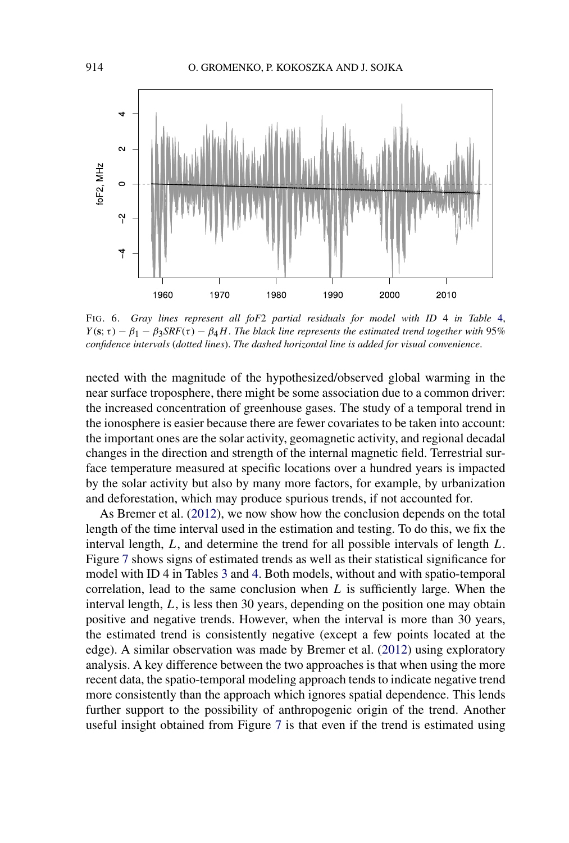<span id="page-16-0"></span>

FIG. 6. *Gray lines represent all foF*2 *partial residuals for model with ID* 4 *in Table* [4,](#page-15-0) *Y*(**s**;  $\tau$ ) − *β*<sub>1</sub> − *β*<sub>3</sub>*SRF*( $\tau$ ) − *β*<sub>4</sub>*H*. *The black line represents the estimated trend together with* 95% *confidence intervals* (*dotted lines*). *The dashed horizontal line is added for visual convenience*.

nected with the magnitude of the hypothesized/observed global warming in the near surface troposphere, there might be some association due to a common driver: the increased concentration of greenhouse gases. The study of a temporal trend in the ionosphere is easier because there are fewer covariates to be taken into account: the important ones are the solar activity, geomagnetic activity, and regional decadal changes in the direction and strength of the internal magnetic field. Terrestrial surface temperature measured at specific locations over a hundred years is impacted by the solar activity but also by many more factors, for example, by urbanization and deforestation, which may produce spurious trends, if not accounted for.

As Bremer et al. [\(2012\)](#page-18-0), we now show how the conclusion depends on the total length of the time interval used in the estimation and testing. To do this, we fix the interval length, *L*, and determine the trend for all possible intervals of length *L*. Figure [7](#page-17-0) shows signs of estimated trends as well as their statistical significance for model with ID 4 in Tables [3](#page-14-0) and [4.](#page-15-0) Both models, without and with spatio-temporal correlation, lead to the same conclusion when *L* is sufficiently large. When the interval length, *L*, is less then 30 years, depending on the position one may obtain positive and negative trends. However, when the interval is more than 30 years, the estimated trend is consistently negative (except a few points located at the edge). A similar observation was made by Bremer et al. [\(2012\)](#page-18-0) using exploratory analysis. A key difference between the two approaches is that when using the more recent data, the spatio-temporal modeling approach tends to indicate negative trend more consistently than the approach which ignores spatial dependence. This lends further support to the possibility of anthropogenic origin of the trend. Another useful insight obtained from Figure [7](#page-17-0) is that even if the trend is estimated using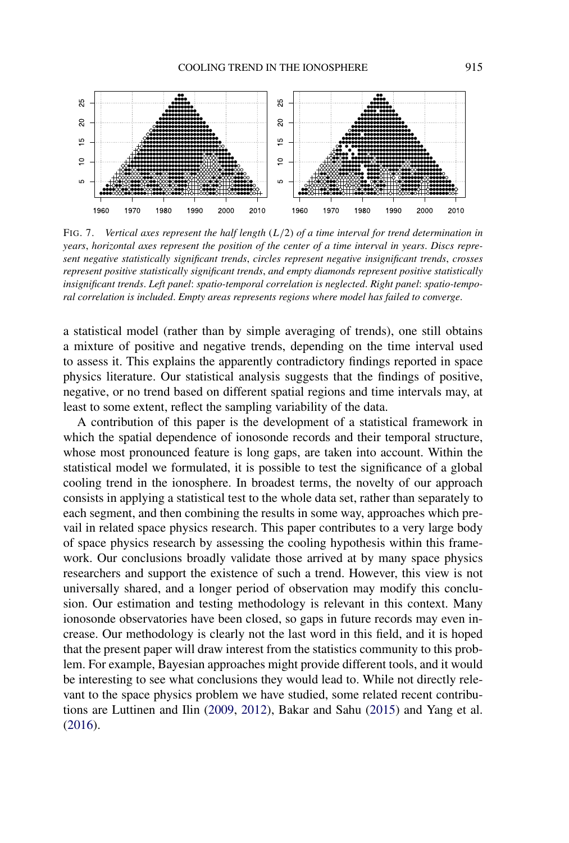<span id="page-17-0"></span>

FIG. 7. *Vertical axes represent the half length* (*L/*2) *of a time interval for trend determination in years*, *horizontal axes represent the position of the center of a time interval in years*. *Discs represent negative statistically significant trends*, *circles represent negative insignificant trends*, *crosses represent positive statistically significant trends*, *and empty diamonds represent positive statistically insignificant trends*. *Left panel*: *spatio-temporal correlation is neglected*. *Right panel*: *spatio-temporal correlation is included*. *Empty areas represents regions where model has failed to converge*.

a statistical model (rather than by simple averaging of trends), one still obtains a mixture of positive and negative trends, depending on the time interval used to assess it. This explains the apparently contradictory findings reported in space physics literature. Our statistical analysis suggests that the findings of positive, negative, or no trend based on different spatial regions and time intervals may, at least to some extent, reflect the sampling variability of the data.

A contribution of this paper is the development of a statistical framework in which the spatial dependence of ionosonde records and their temporal structure, whose most pronounced feature is long gaps, are taken into account. Within the statistical model we formulated, it is possible to test the significance of a global cooling trend in the ionosphere. In broadest terms, the novelty of our approach consists in applying a statistical test to the whole data set, rather than separately to each segment, and then combining the results in some way, approaches which prevail in related space physics research. This paper contributes to a very large body of space physics research by assessing the cooling hypothesis within this framework. Our conclusions broadly validate those arrived at by many space physics researchers and support the existence of such a trend. However, this view is not universally shared, and a longer period of observation may modify this conclusion. Our estimation and testing methodology is relevant in this context. Many ionosonde observatories have been closed, so gaps in future records may even increase. Our methodology is clearly not the last word in this field, and it is hoped that the present paper will draw interest from the statistics community to this problem. For example, Bayesian approaches might provide different tools, and it would be interesting to see what conclusions they would lead to. While not directly relevant to the space physics problem we have studied, some related recent contributions are Luttinen and Ilin [\(2009,](#page-19-0) [2012\)](#page-19-0), Bakar and Sahu [\(2015\)](#page-18-0) and Yang et al. [\(2016\)](#page-20-0).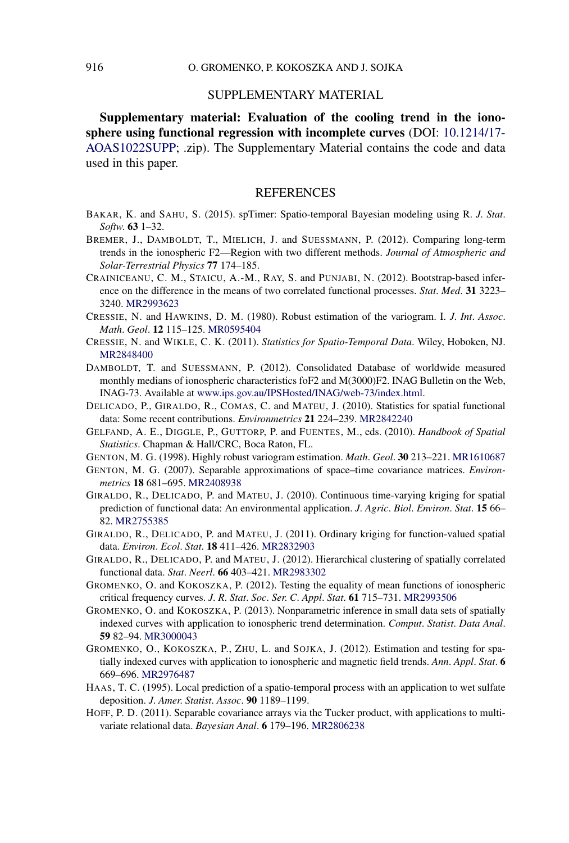# SUPPLEMENTARY MATERIAL

<span id="page-18-0"></span>**Supplementary material: Evaluation of the cooling trend in the ionosphere using functional regression with incomplete curves** (DOI: [10.1214/17-](http://dx.doi.org/10.1214/17-AOAS1022SUPP) [AOAS1022SUPP](http://dx.doi.org/10.1214/17-AOAS1022SUPP); .zip). The Supplementary Material contains the code and data used in this paper.

## REFERENCES

- BAKAR, K. and SAHU, S. (2015). spTimer: Spatio-temporal Bayesian modeling using R. *J*. *Stat*. *Softw*. **63** 1–32.
- BREMER, J., DAMBOLDT, T., MIELICH, J. and SUESSMANN, P. (2012). Comparing long-term trends in the ionospheric F2—Region with two different methods. *Journal of Atmospheric and Solar-Terrestrial Physics* **77** 174–185.
- CRAINICEANU, C. M., STAICU, A.-M., RAY, S. and PUNJABI, N. (2012). Bootstrap-based inference on the difference in the means of two correlated functional processes. *Stat*. *Med*. **31** 3223– 3240. [MR2993623](http://www.ams.org/mathscinet-getitem?mr=2993623)
- CRESSIE, N. and HAWKINS, D. M. (1980). Robust estimation of the variogram. I. *J*. *Int*. *Assoc*. *Math*. *Geol*. **12** 115–125. [MR0595404](http://www.ams.org/mathscinet-getitem?mr=0595404)
- CRESSIE, N. and WIKLE, C. K. (2011). *Statistics for Spatio-Temporal Data*. Wiley, Hoboken, NJ. [MR2848400](http://www.ams.org/mathscinet-getitem?mr=2848400)
- DAMBOLDT, T. and SUESSMANN, P. (2012). Consolidated Database of worldwide measured monthly medians of ionospheric characteristics foF2 and M(3000)F2. INAG Bulletin on the Web, INAG-73. Available at [www.ips.gov.au/IPSHosted/INAG/web-73/index.html](http://www.ips.gov.au/IPSHosted/INAG/web-73/index.html).
- DELICADO, P., GIRALDO, R., COMAS, C. and MATEU, J. (2010). Statistics for spatial functional data: Some recent contributions. *Environmetrics* **21** 224–239. [MR2842240](http://www.ams.org/mathscinet-getitem?mr=2842240)
- GELFAND, A. E., DIGGLE, P., GUTTORP, P. and FUENTES, M., eds. (2010). *Handbook of Spatial Statistics*. Chapman & Hall/CRC, Boca Raton, FL.
- GENTON, M. G. (1998). Highly robust variogram estimation. *Math*. *Geol*. **30** 213–221. [MR1610687](http://www.ams.org/mathscinet-getitem?mr=1610687)
- GENTON, M. G. (2007). Separable approximations of space–time covariance matrices. *Environmetrics* **18** 681–695. [MR2408938](http://www.ams.org/mathscinet-getitem?mr=2408938)
- GIRALDO, R., DELICADO, P. and MATEU, J. (2010). Continuous time-varying kriging for spatial prediction of functional data: An environmental application. *J*. *Agric*. *Biol*. *Environ*. *Stat*. **15** 66– 82. [MR2755385](http://www.ams.org/mathscinet-getitem?mr=2755385)
- GIRALDO, R., DELICADO, P. and MATEU, J. (2011). Ordinary kriging for function-valued spatial data. *Environ*. *Ecol*. *Stat*. **18** 411–426. [MR2832903](http://www.ams.org/mathscinet-getitem?mr=2832903)
- GIRALDO, R., DELICADO, P. and MATEU, J. (2012). Hierarchical clustering of spatially correlated functional data. *Stat*. *Neerl*. **66** 403–421. [MR2983302](http://www.ams.org/mathscinet-getitem?mr=2983302)
- GROMENKO, O. and KOKOSZKA, P. (2012). Testing the equality of mean functions of ionospheric critical frequency curves. *J*. *R*. *Stat*. *Soc*. *Ser*. *C*. *Appl*. *Stat*. **61** 715–731. [MR2993506](http://www.ams.org/mathscinet-getitem?mr=2993506)
- GROMENKO, O. and KOKOSZKA, P. (2013). Nonparametric inference in small data sets of spatially indexed curves with application to ionospheric trend determination. *Comput*. *Statist*. *Data Anal*. **59** 82–94. [MR3000043](http://www.ams.org/mathscinet-getitem?mr=3000043)
- GROMENKO, O., KOKOSZKA, P., ZHU, L. and SOJKA, J. (2012). Estimation and testing for spatially indexed curves with application to ionospheric and magnetic field trends. *Ann*. *Appl*. *Stat*. **6** 669–696. [MR2976487](http://www.ams.org/mathscinet-getitem?mr=2976487)
- HAAS, T. C. (1995). Local prediction of a spatio-temporal process with an application to wet sulfate deposition. *J*. *Amer*. *Statist*. *Assoc*. **90** 1189–1199.
- HOFF, P. D. (2011). Separable covariance arrays via the Tucker product, with applications to multivariate relational data. *Bayesian Anal*. **6** 179–196. [MR2806238](http://www.ams.org/mathscinet-getitem?mr=2806238)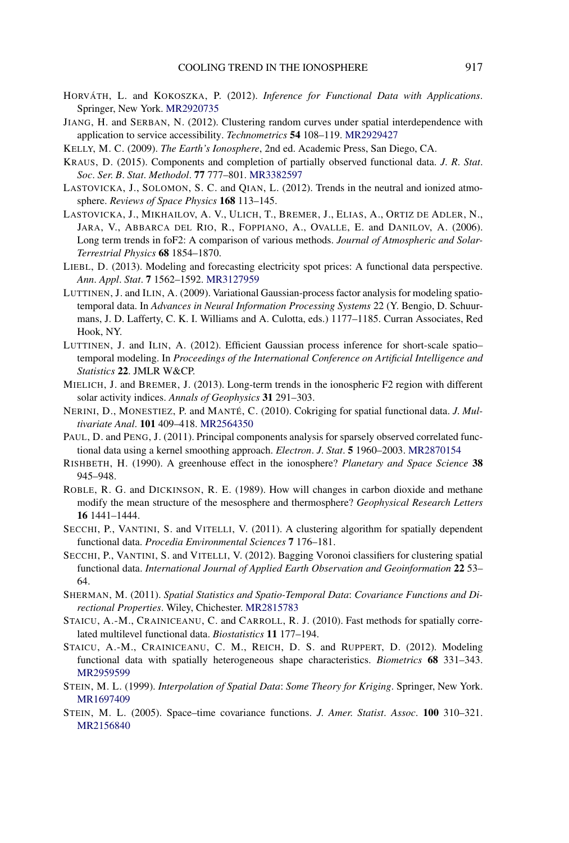- <span id="page-19-0"></span>HORVÁTH, L. and KOKOSZKA, P. (2012). *Inference for Functional Data with Applications*. Springer, New York. [MR2920735](http://www.ams.org/mathscinet-getitem?mr=2920735)
- JIANG, H. and SERBAN, N. (2012). Clustering random curves under spatial interdependence with application to service accessibility. *Technometrics* **54** 108–119. [MR2929427](http://www.ams.org/mathscinet-getitem?mr=2929427)
- KELLY, M. C. (2009). *The Earth's Ionosphere*, 2nd ed. Academic Press, San Diego, CA.
- KRAUS, D. (2015). Components and completion of partially observed functional data. *J*. *R*. *Stat*. *Soc*. *Ser*. *B*. *Stat*. *Methodol*. **77** 777–801. [MR3382597](http://www.ams.org/mathscinet-getitem?mr=3382597)
- LASTOVICKA, J., SOLOMON, S. C. and QIAN, L. (2012). Trends in the neutral and ionized atmosphere. *Reviews of Space Physics* **168** 113–145.
- LASTOVICKA, J., MIKHAILOV, A. V., ULICH, T., BREMER, J., ELIAS, A., ORTIZ DE ADLER, N., JARA, V., ABBARCA DEL RIO, R., FOPPIANO, A., OVALLE, E. and DANILOV, A. (2006). Long term trends in foF2: A comparison of various methods. *Journal of Atmospheric and Solar-Terrestrial Physics* **68** 1854–1870.
- LIEBL, D. (2013). Modeling and forecasting electricity spot prices: A functional data perspective. *Ann*. *Appl*. *Stat*. **7** 1562–1592. [MR3127959](http://www.ams.org/mathscinet-getitem?mr=3127959)
- LUTTINEN, J. and ILIN, A. (2009). Variational Gaussian-process factor analysis for modeling spatiotemporal data. In *Advances in Neural Information Processing Systems* 22 (Y. Bengio, D. Schuurmans, J. D. Lafferty, C. K. I. Williams and A. Culotta, eds.) 1177–1185. Curran Associates, Red Hook, NY.
- LUTTINEN, J. and ILIN, A. (2012). Efficient Gaussian process inference for short-scale spatio– temporal modeling. In *Proceedings of the International Conference on Artificial Intelligence and Statistics* **22**. JMLR W&CP.
- MIELICH, J. and BREMER, J. (2013). Long-term trends in the ionospheric F2 region with different solar activity indices. *Annals of Geophysics* **31** 291–303.
- NERINI, D., MONESTIEZ, P. and MANTÉ, C. (2010). Cokriging for spatial functional data. *J*. *Multivariate Anal*. **101** 409–418. [MR2564350](http://www.ams.org/mathscinet-getitem?mr=2564350)
- PAUL, D. and PENG, J. (2011). Principal components analysis for sparsely observed correlated functional data using a kernel smoothing approach. *Electron*. *J*. *Stat*. **5** 1960–2003. [MR2870154](http://www.ams.org/mathscinet-getitem?mr=2870154)
- RISHBETH, H. (1990). A greenhouse effect in the ionosphere? *Planetary and Space Science* **38** 945–948.
- ROBLE, R. G. and DICKINSON, R. E. (1989). How will changes in carbon dioxide and methane modify the mean structure of the mesosphere and thermosphere? *Geophysical Research Letters* **16** 1441–1444.
- SECCHI, P., VANTINI, S. and VITELLI, V. (2011). A clustering algorithm for spatially dependent functional data. *Procedia Environmental Sciences* **7** 176–181.
- SECCHI, P., VANTINI, S. and VITELLI, V. (2012). Bagging Voronoi classifiers for clustering spatial functional data. *International Journal of Applied Earth Observation and Geoinformation* **22** 53– 64.
- SHERMAN, M. (2011). *Spatial Statistics and Spatio-Temporal Data*: *Covariance Functions and Directional Properties*. Wiley, Chichester. [MR2815783](http://www.ams.org/mathscinet-getitem?mr=2815783)
- STAICU, A.-M., CRAINICEANU, C. and CARROLL, R. J. (2010). Fast methods for spatially correlated multilevel functional data. *Biostatistics* **11** 177–194.
- STAICU, A.-M., CRAINICEANU, C. M., REICH, D. S. and RUPPERT, D. (2012). Modeling functional data with spatially heterogeneous shape characteristics. *Biometrics* **68** 331–343. [MR2959599](http://www.ams.org/mathscinet-getitem?mr=2959599)
- STEIN, M. L. (1999). *Interpolation of Spatial Data*: *Some Theory for Kriging*. Springer, New York. [MR1697409](http://www.ams.org/mathscinet-getitem?mr=1697409)
- STEIN, M. L. (2005). Space–time covariance functions. *J*. *Amer*. *Statist*. *Assoc*. **100** 310–321. [MR2156840](http://www.ams.org/mathscinet-getitem?mr=2156840)